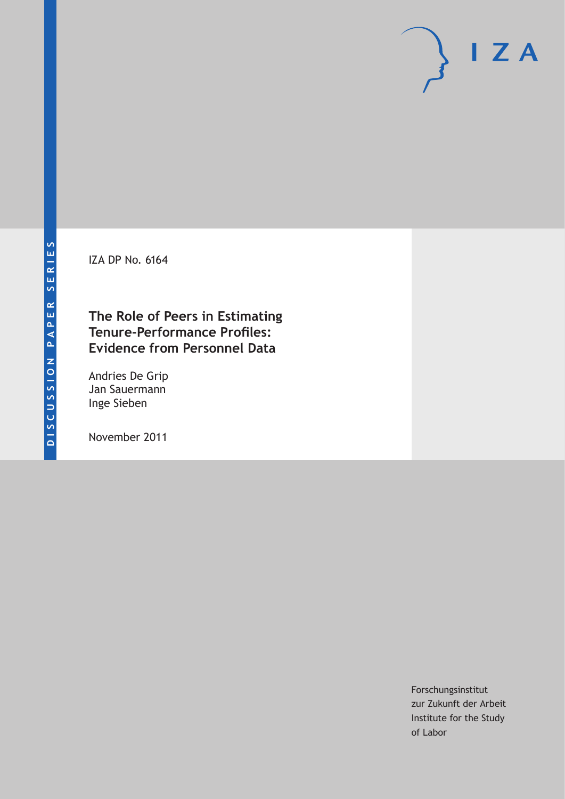IZA DP No. 6164

### **The Role of Peers in Estimating Tenure-Performance Profiles: Evidence from Personnel Data**

Andries De Grip Jan Sauermann Inge Sieben

November 2011

Forschungsinstitut zur Zukunft der Arbeit Institute for the Study of Labor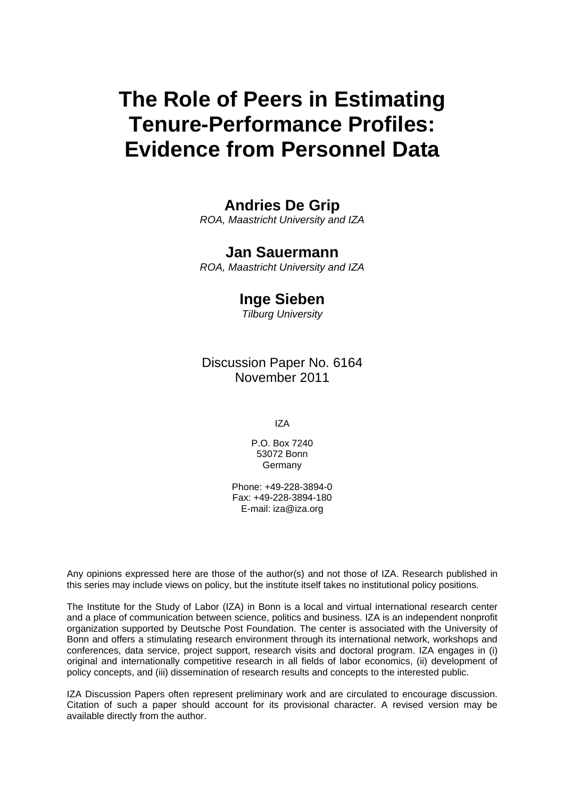# **The Role of Peers in Estimating Tenure-Performance Profiles: Evidence from Personnel Data**

### **Andries De Grip**

*ROA, Maastricht University and IZA* 

#### **Jan Sauermann**

*ROA, Maastricht University and IZA* 

#### **Inge Sieben**

*Tilburg University* 

Discussion Paper No. 6164 November 2011

IZA

P.O. Box 7240 53072 Bonn **Germany** 

Phone: +49-228-3894-0 Fax: +49-228-3894-180 E-mail: [iza@iza.org](mailto:iza@iza.org)

Any opinions expressed here are those of the author(s) and not those of IZA. Research published in this series may include views on policy, but the institute itself takes no institutional policy positions.

The Institute for the Study of Labor (IZA) in Bonn is a local and virtual international research center and a place of communication between science, politics and business. IZA is an independent nonprofit organization supported by Deutsche Post Foundation. The center is associated with the University of Bonn and offers a stimulating research environment through its international network, workshops and conferences, data service, project support, research visits and doctoral program. IZA engages in (i) original and internationally competitive research in all fields of labor economics, (ii) development of policy concepts, and (iii) dissemination of research results and concepts to the interested public.

IZA Discussion Papers often represent preliminary work and are circulated to encourage discussion. Citation of such a paper should account for its provisional character. A revised version may be available directly from the author.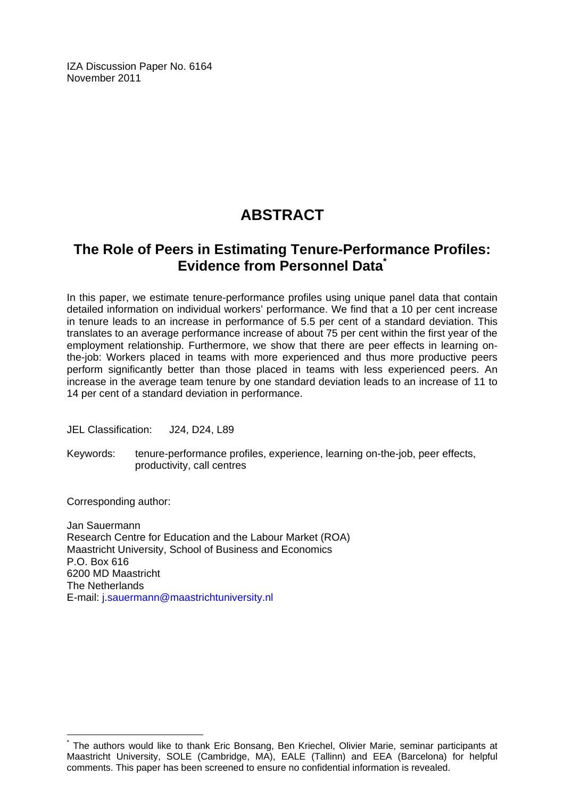IZA Discussion Paper No. 6164 November 2011

## **ABSTRACT**

### **The Role of Peers in Estimating Tenure-Performance Profiles: Evidence from Personnel Data[\\*](#page-2-0)**

In this paper, we estimate tenure-performance profiles using unique panel data that contain detailed information on individual workers' performance. We find that a 10 per cent increase in tenure leads to an increase in performance of 5.5 per cent of a standard deviation. This translates to an average performance increase of about 75 per cent within the first year of the employment relationship. Furthermore, we show that there are peer effects in learning onthe-job: Workers placed in teams with more experienced and thus more productive peers perform significantly better than those placed in teams with less experienced peers. An increase in the average team tenure by one standard deviation leads to an increase of 11 to 14 per cent of a standard deviation in performance.

JEL Classification: J24, D24, L89

Keywords: tenure-performance profiles, experience, learning on-the-job, peer effects, productivity, call centres

Corresponding author:

 $\overline{a}$ 

Jan Sauermann Research Centre for Education and the Labour Market (ROA) Maastricht University, School of Business and Economics P.O. Box 616 6200 MD Maastricht The Netherlands E-mail: [j.sauermann@maastrichtuniversity.nl](mailto:j.sauermann@maastrichtuniversity.nl)

<span id="page-2-0"></span><sup>\*</sup> The authors would like to thank Eric Bonsang, Ben Kriechel, Olivier Marie, seminar participants at Maastricht University, SOLE (Cambridge, MA), EALE (Tallinn) and EEA (Barcelona) for helpful comments. This paper has been screened to ensure no confidential information is revealed.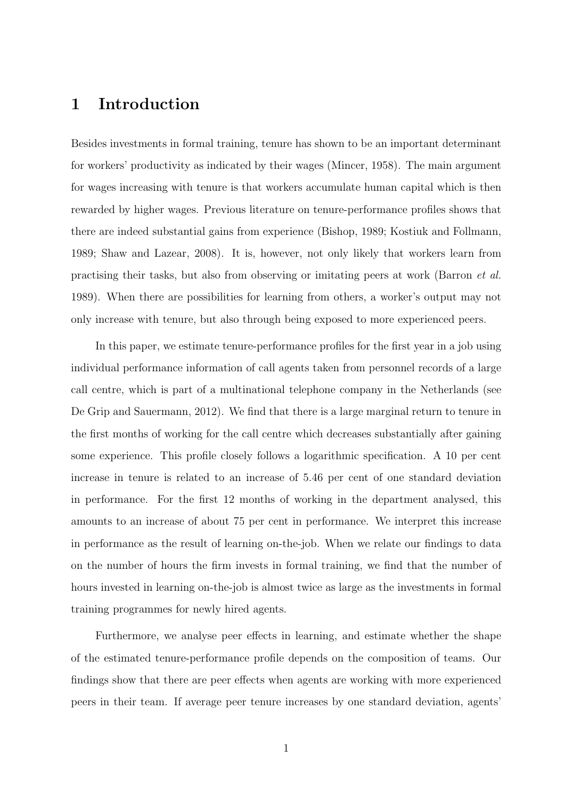### 1 Introduction

Besides investments in formal training, tenure has shown to be an important determinant for workers' productivity as indicated by their wages (Mincer, 1958). The main argument for wages increasing with tenure is that workers accumulate human capital which is then rewarded by higher wages. Previous literature on tenure-performance profiles shows that there are indeed substantial gains from experience (Bishop, 1989; Kostiuk and Follmann, 1989; Shaw and Lazear, 2008). It is, however, not only likely that workers learn from practising their tasks, but also from observing or imitating peers at work (Barron et al. 1989). When there are possibilities for learning from others, a worker's output may not only increase with tenure, but also through being exposed to more experienced peers.

In this paper, we estimate tenure-performance profiles for the first year in a job using individual performance information of call agents taken from personnel records of a large call centre, which is part of a multinational telephone company in the Netherlands (see De Grip and Sauermann, 2012). We find that there is a large marginal return to tenure in the first months of working for the call centre which decreases substantially after gaining some experience. This profile closely follows a logarithmic specification. A 10 per cent increase in tenure is related to an increase of 5.46 per cent of one standard deviation in performance. For the first 12 months of working in the department analysed, this amounts to an increase of about 75 per cent in performance. We interpret this increase in performance as the result of learning on-the-job. When we relate our findings to data on the number of hours the firm invests in formal training, we find that the number of hours invested in learning on-the-job is almost twice as large as the investments in formal training programmes for newly hired agents.

Furthermore, we analyse peer effects in learning, and estimate whether the shape of the estimated tenure-performance profile depends on the composition of teams. Our findings show that there are peer effects when agents are working with more experienced peers in their team. If average peer tenure increases by one standard deviation, agents'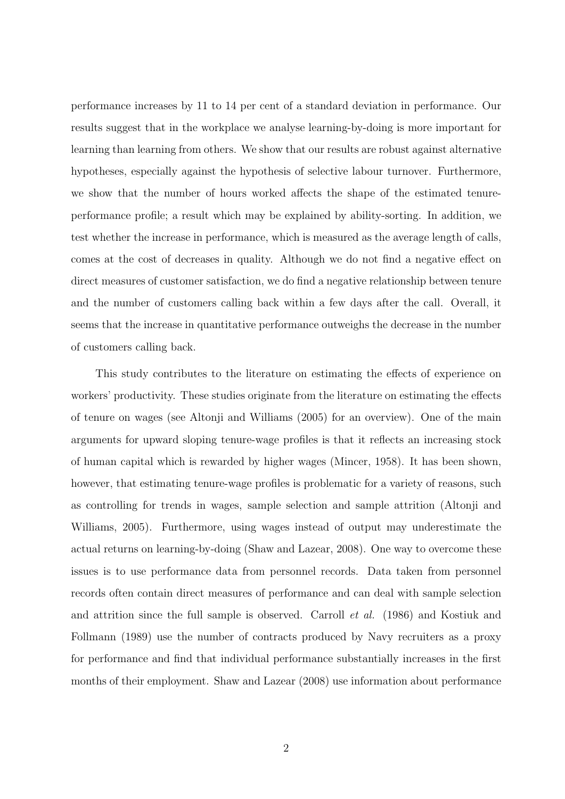performance increases by 11 to 14 per cent of a standard deviation in performance. Our results suggest that in the workplace we analyse learning-by-doing is more important for learning than learning from others. We show that our results are robust against alternative hypotheses, especially against the hypothesis of selective labour turnover. Furthermore, we show that the number of hours worked affects the shape of the estimated tenureperformance profile; a result which may be explained by ability-sorting. In addition, we test whether the increase in performance, which is measured as the average length of calls, comes at the cost of decreases in quality. Although we do not find a negative effect on direct measures of customer satisfaction, we do find a negative relationship between tenure and the number of customers calling back within a few days after the call. Overall, it seems that the increase in quantitative performance outweighs the decrease in the number of customers calling back.

This study contributes to the literature on estimating the effects of experience on workers' productivity. These studies originate from the literature on estimating the effects of tenure on wages (see Altonji and Williams (2005) for an overview). One of the main arguments for upward sloping tenure-wage profiles is that it reflects an increasing stock of human capital which is rewarded by higher wages (Mincer, 1958). It has been shown, however, that estimating tenure-wage profiles is problematic for a variety of reasons, such as controlling for trends in wages, sample selection and sample attrition (Altonji and Williams, 2005). Furthermore, using wages instead of output may underestimate the actual returns on learning-by-doing (Shaw and Lazear, 2008). One way to overcome these issues is to use performance data from personnel records. Data taken from personnel records often contain direct measures of performance and can deal with sample selection and attrition since the full sample is observed. Carroll et al. (1986) and Kostiuk and Follmann (1989) use the number of contracts produced by Navy recruiters as a proxy for performance and find that individual performance substantially increases in the first months of their employment. Shaw and Lazear (2008) use information about performance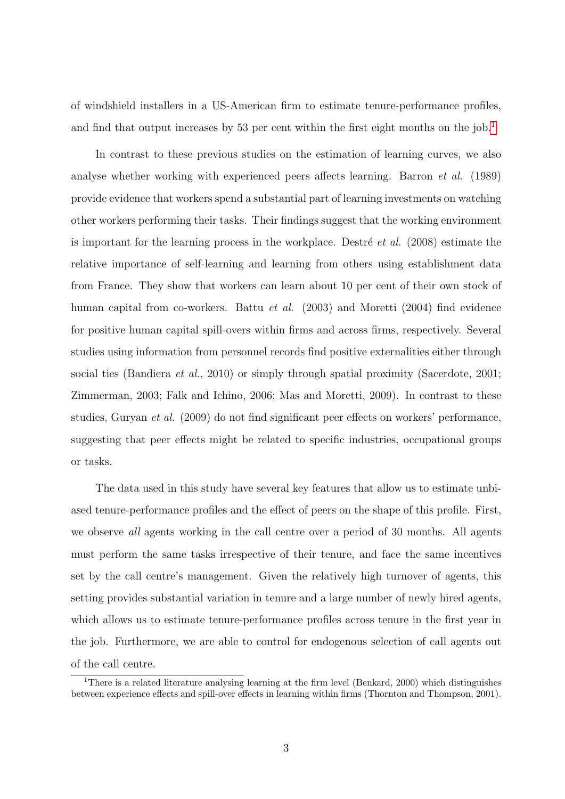of windshield installers in a US-American firm to estimate tenure-performance profiles, and find that output increases by 53 per cent within the first eight months on the job.<sup>[1](#page--1-0)</sup>

In contrast to these previous studies on the estimation of learning curves, we also analyse whether working with experienced peers affects learning. Barron et al. (1989) provide evidence that workers spend a substantial part of learning investments on watching other workers performing their tasks. Their findings suggest that the working environment is important for the learning process in the workplace. Destré *et al.* (2008) estimate the relative importance of self-learning and learning from others using establishment data from France. They show that workers can learn about 10 per cent of their own stock of human capital from co-workers. Battu et al. (2003) and Moretti (2004) find evidence for positive human capital spill-overs within firms and across firms, respectively. Several studies using information from personnel records find positive externalities either through social ties (Bandiera *et al.*, 2010) or simply through spatial proximity (Sacerdote, 2001; Zimmerman, 2003; Falk and Ichino, 2006; Mas and Moretti, 2009). In contrast to these studies, Guryan et al. (2009) do not find significant peer effects on workers' performance, suggesting that peer effects might be related to specific industries, occupational groups or tasks.

The data used in this study have several key features that allow us to estimate unbiased tenure-performance profiles and the effect of peers on the shape of this profile. First, we observe all agents working in the call centre over a period of 30 months. All agents must perform the same tasks irrespective of their tenure, and face the same incentives set by the call centre's management. Given the relatively high turnover of agents, this setting provides substantial variation in tenure and a large number of newly hired agents, which allows us to estimate tenure-performance profiles across tenure in the first year in the job. Furthermore, we are able to control for endogenous selection of call agents out of the call centre.

<sup>&</sup>lt;sup>1</sup>There is a related literature analysing learning at the firm level (Benkard, 2000) which distinguishes between experience effects and spill-over effects in learning within firms (Thornton and Thompson, 2001).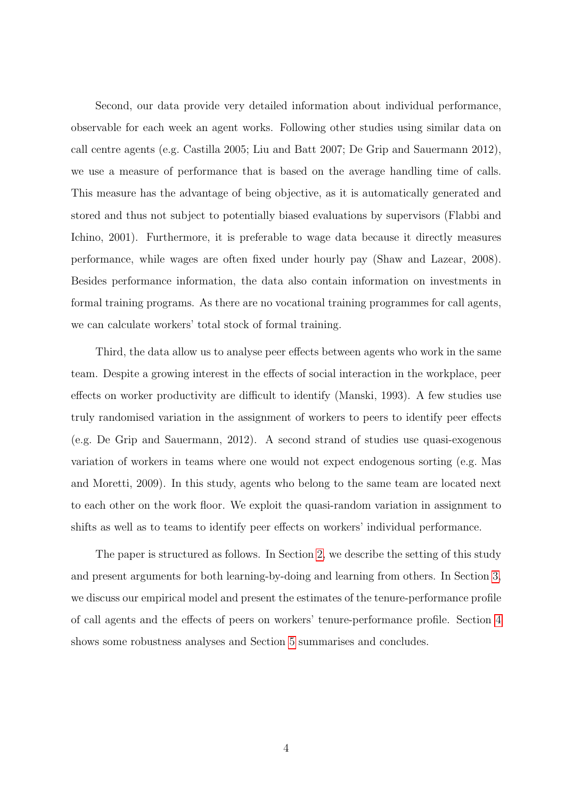Second, our data provide very detailed information about individual performance, observable for each week an agent works. Following other studies using similar data on call centre agents (e.g. Castilla 2005; Liu and Batt 2007; De Grip and Sauermann 2012), we use a measure of performance that is based on the average handling time of calls. This measure has the advantage of being objective, as it is automatically generated and stored and thus not subject to potentially biased evaluations by supervisors (Flabbi and Ichino, 2001). Furthermore, it is preferable to wage data because it directly measures performance, while wages are often fixed under hourly pay (Shaw and Lazear, 2008). Besides performance information, the data also contain information on investments in formal training programs. As there are no vocational training programmes for call agents, we can calculate workers' total stock of formal training.

Third, the data allow us to analyse peer effects between agents who work in the same team. Despite a growing interest in the effects of social interaction in the workplace, peer effects on worker productivity are difficult to identify (Manski, 1993). A few studies use truly randomised variation in the assignment of workers to peers to identify peer effects (e.g. De Grip and Sauermann, 2012). A second strand of studies use quasi-exogenous variation of workers in teams where one would not expect endogenous sorting (e.g. Mas and Moretti, 2009). In this study, agents who belong to the same team are located next to each other on the work floor. We exploit the quasi-random variation in assignment to shifts as well as to teams to identify peer effects on workers' individual performance.

The paper is structured as follows. In Section [2,](#page-7-0) we describe the setting of this study and present arguments for both learning-by-doing and learning from others. In Section [3,](#page-10-0) we discuss our empirical model and present the estimates of the tenure-performance profile of call agents and the effects of peers on workers' tenure-performance profile. Section [4](#page-16-0) shows some robustness analyses and Section [5](#page-21-0) summarises and concludes.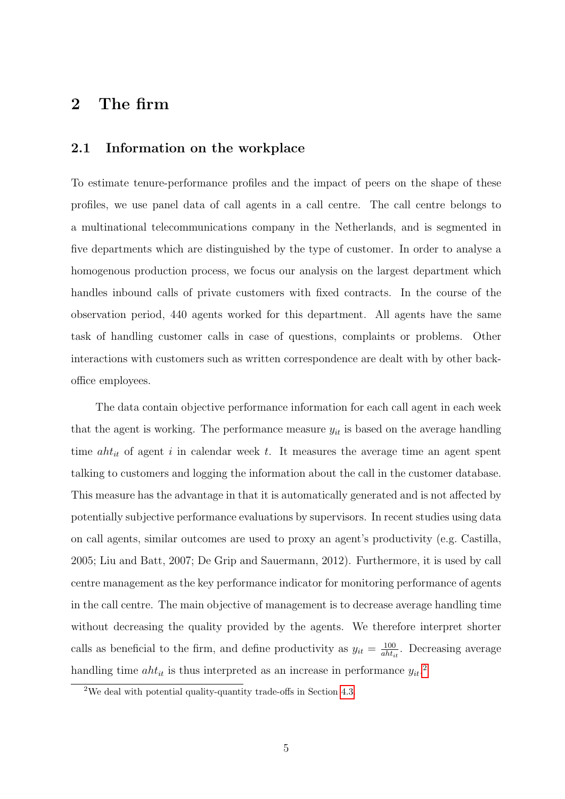### <span id="page-7-0"></span>2 The firm

#### 2.1 Information on the workplace

To estimate tenure-performance profiles and the impact of peers on the shape of these profiles, we use panel data of call agents in a call centre. The call centre belongs to a multinational telecommunications company in the Netherlands, and is segmented in five departments which are distinguished by the type of customer. In order to analyse a homogenous production process, we focus our analysis on the largest department which handles inbound calls of private customers with fixed contracts. In the course of the observation period, 440 agents worked for this department. All agents have the same task of handling customer calls in case of questions, complaints or problems. Other interactions with customers such as written correspondence are dealt with by other backoffice employees.

The data contain objective performance information for each call agent in each week that the agent is working. The performance measure  $y_{it}$  is based on the average handling time  $aht_{it}$  of agent i in calendar week t. It measures the average time an agent spent talking to customers and logging the information about the call in the customer database. This measure has the advantage in that it is automatically generated and is not affected by potentially subjective performance evaluations by supervisors. In recent studies using data on call agents, similar outcomes are used to proxy an agent's productivity (e.g. Castilla, 2005; Liu and Batt, 2007; De Grip and Sauermann, 2012). Furthermore, it is used by call centre management as the key performance indicator for monitoring performance of agents in the call centre. The main objective of management is to decrease average handling time without decreasing the quality provided by the agents. We therefore interpret shorter calls as beneficial to the firm, and define productivity as  $y_{it} = \frac{100}{ab\hbar}$  $\frac{100}{aht_{it}}$ . Decreasing average handling time  $aht_{it}$  is thus interpreted as an increase in performance  $y_{it}$ <sup>[2](#page--1-0)</sup>

<sup>2</sup>We deal with potential quality-quantity trade-offs in Section [4.3.](#page-19-0)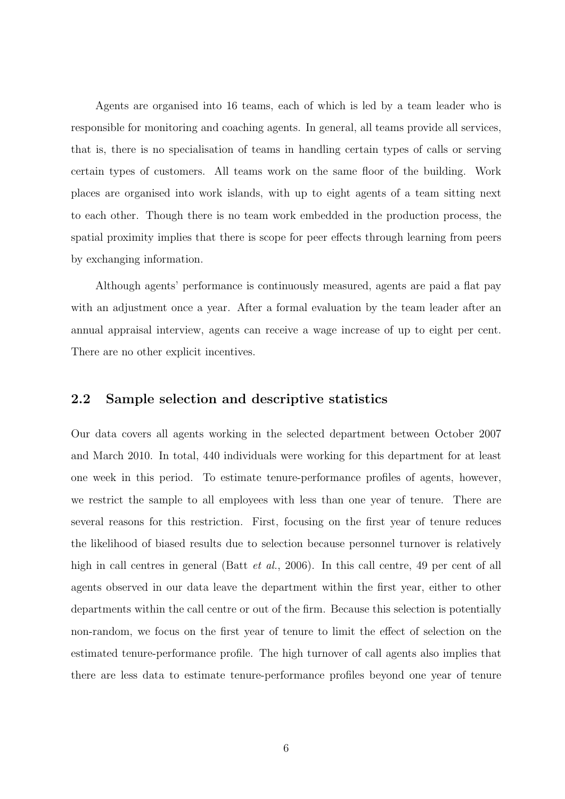Agents are organised into 16 teams, each of which is led by a team leader who is responsible for monitoring and coaching agents. In general, all teams provide all services, that is, there is no specialisation of teams in handling certain types of calls or serving certain types of customers. All teams work on the same floor of the building. Work places are organised into work islands, with up to eight agents of a team sitting next to each other. Though there is no team work embedded in the production process, the spatial proximity implies that there is scope for peer effects through learning from peers by exchanging information.

Although agents' performance is continuously measured, agents are paid a flat pay with an adjustment once a year. After a formal evaluation by the team leader after an annual appraisal interview, agents can receive a wage increase of up to eight per cent. There are no other explicit incentives.

#### 2.2 Sample selection and descriptive statistics

Our data covers all agents working in the selected department between October 2007 and March 2010. In total, 440 individuals were working for this department for at least one week in this period. To estimate tenure-performance profiles of agents, however, we restrict the sample to all employees with less than one year of tenure. There are several reasons for this restriction. First, focusing on the first year of tenure reduces the likelihood of biased results due to selection because personnel turnover is relatively high in call centres in general (Batt *et al.*, 2006). In this call centre, 49 per cent of all agents observed in our data leave the department within the first year, either to other departments within the call centre or out of the firm. Because this selection is potentially non-random, we focus on the first year of tenure to limit the effect of selection on the estimated tenure-performance profile. The high turnover of call agents also implies that there are less data to estimate tenure-performance profiles beyond one year of tenure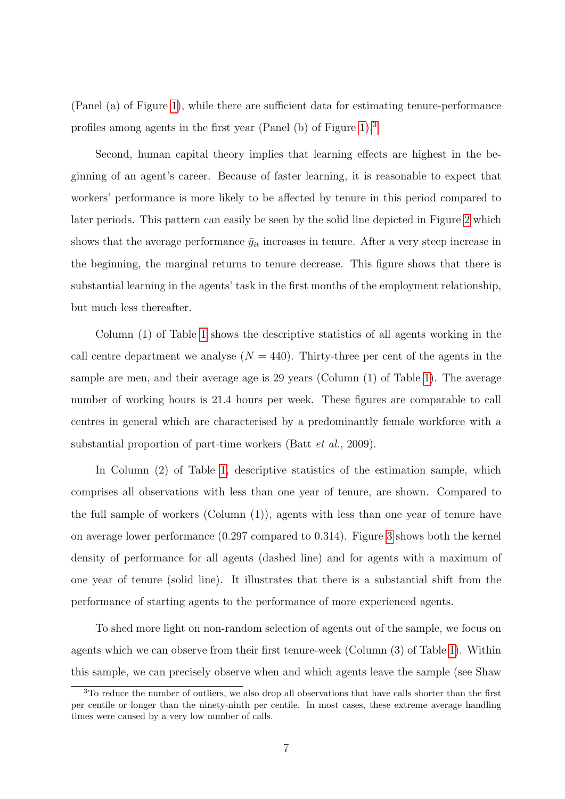(Panel (a) of Figure [1\)](#page-26-0), while there are sufficient data for estimating tenure-performance profiles among agents in the first year (Panel (b) of Figure [1\)](#page-26-0).[3](#page--1-0)

Second, human capital theory implies that learning effects are highest in the beginning of an agent's career. Because of faster learning, it is reasonable to expect that workers' performance is more likely to be affected by tenure in this period compared to later periods. This pattern can easily be seen by the solid line depicted in Figure [2](#page-26-1) which shows that the average performance  $\bar{y}_{it}$  increases in tenure. After a very steep increase in the beginning, the marginal returns to tenure decrease. This figure shows that there is substantial learning in the agents' task in the first months of the employment relationship, but much less thereafter.

Column (1) of Table [1](#page-28-0) shows the descriptive statistics of all agents working in the call centre department we analyse  $(N = 440)$ . Thirty-three per cent of the agents in the sample are men, and their average age is 29 years (Column (1) of Table [1\)](#page-28-0). The average number of working hours is 21.4 hours per week. These figures are comparable to call centres in general which are characterised by a predominantly female workforce with a substantial proportion of part-time workers (Batt et al., 2009).

In Column (2) of Table [1,](#page-28-0) descriptive statistics of the estimation sample, which comprises all observations with less than one year of tenure, are shown. Compared to the full sample of workers (Column (1)), agents with less than one year of tenure have on average lower performance (0.297 compared to 0.314). Figure [3](#page-27-0) shows both the kernel density of performance for all agents (dashed line) and for agents with a maximum of one year of tenure (solid line). It illustrates that there is a substantial shift from the performance of starting agents to the performance of more experienced agents.

To shed more light on non-random selection of agents out of the sample, we focus on agents which we can observe from their first tenure-week (Column (3) of Table [1\)](#page-28-0). Within this sample, we can precisely observe when and which agents leave the sample (see Shaw

<sup>3</sup>To reduce the number of outliers, we also drop all observations that have calls shorter than the first per centile or longer than the ninety-ninth per centile. In most cases, these extreme average handling times were caused by a very low number of calls.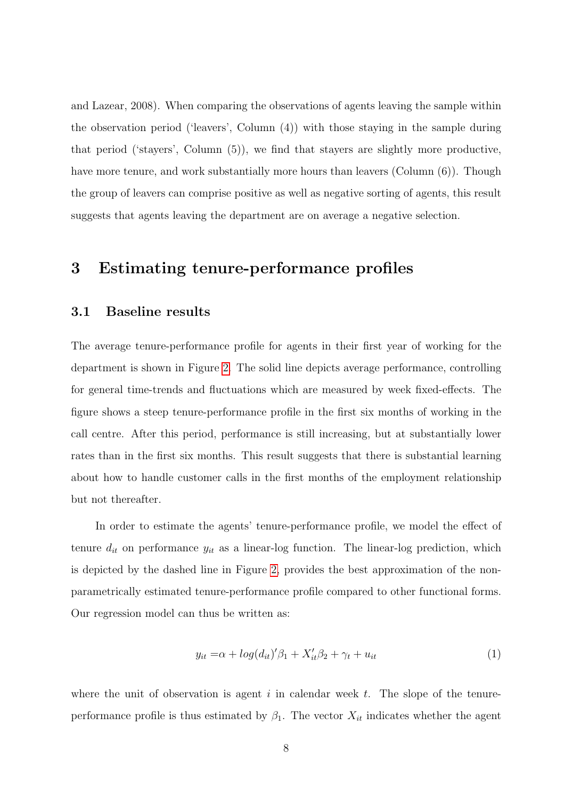and Lazear, 2008). When comparing the observations of agents leaving the sample within the observation period ('leavers', Column (4)) with those staying in the sample during that period ('stayers', Column (5)), we find that stayers are slightly more productive, have more tenure, and work substantially more hours than leavers (Column  $(6)$ ). Though the group of leavers can comprise positive as well as negative sorting of agents, this result suggests that agents leaving the department are on average a negative selection.

### <span id="page-10-0"></span>3 Estimating tenure-performance profiles

#### <span id="page-10-2"></span>3.1 Baseline results

The average tenure-performance profile for agents in their first year of working for the department is shown in Figure [2.](#page-26-1) The solid line depicts average performance, controlling for general time-trends and fluctuations which are measured by week fixed-effects. The figure shows a steep tenure-performance profile in the first six months of working in the call centre. After this period, performance is still increasing, but at substantially lower rates than in the first six months. This result suggests that there is substantial learning about how to handle customer calls in the first months of the employment relationship but not thereafter.

In order to estimate the agents' tenure-performance profile, we model the effect of tenure  $d_{it}$  on performance  $y_{it}$  as a linear-log function. The linear-log prediction, which is depicted by the dashed line in Figure [2,](#page-26-1) provides the best approximation of the nonparametrically estimated tenure-performance profile compared to other functional forms. Our regression model can thus be written as:

<span id="page-10-1"></span>
$$
y_{it} = \alpha + \log(d_{it})'\beta_1 + X'_{it}\beta_2 + \gamma_t + u_{it}
$$
\n<sup>(1)</sup>

where the unit of observation is agent  $i$  in calendar week  $t$ . The slope of the tenureperformance profile is thus estimated by  $\beta_1$ . The vector  $X_{it}$  indicates whether the agent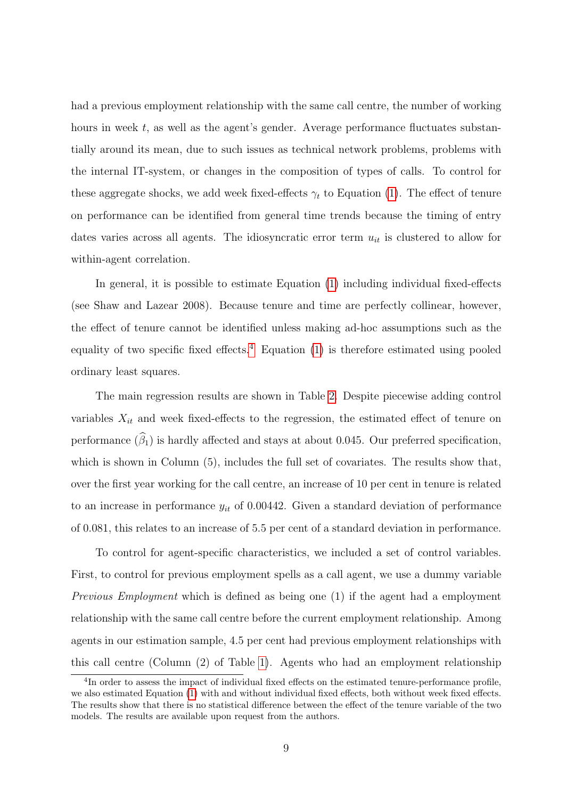had a previous employment relationship with the same call centre, the number of working hours in week  $t$ , as well as the agent's gender. Average performance fluctuates substantially around its mean, due to such issues as technical network problems, problems with the internal IT-system, or changes in the composition of types of calls. To control for these aggregate shocks, we add week fixed-effects  $\gamma_t$  to Equation [\(1\)](#page-10-1). The effect of tenure on performance can be identified from general time trends because the timing of entry dates varies across all agents. The idiosyncratic error term  $u_{it}$  is clustered to allow for within-agent correlation.

In general, it is possible to estimate Equation [\(1\)](#page-10-1) including individual fixed-effects (see Shaw and Lazear 2008). Because tenure and time are perfectly collinear, however, the effect of tenure cannot be identified unless making ad-hoc assumptions such as the equality of two specific fixed effects.<sup>[4](#page--1-0)</sup> Equation  $(1)$  is therefore estimated using pooled ordinary least squares.

The main regression results are shown in Table [2.](#page-29-0) Despite piecewise adding control variables  $X_{it}$  and week fixed-effects to the regression, the estimated effect of tenure on performance  $(\widehat{\beta}_1)$  is hardly affected and stays at about 0.045. Our preferred specification, which is shown in Column  $(5)$ , includes the full set of covariates. The results show that, over the first year working for the call centre, an increase of 10 per cent in tenure is related to an increase in performance  $y_{it}$  of 0.00442. Given a standard deviation of performance of 0.081, this relates to an increase of 5.5 per cent of a standard deviation in performance.

To control for agent-specific characteristics, we included a set of control variables. First, to control for previous employment spells as a call agent, we use a dummy variable Previous Employment which is defined as being one (1) if the agent had a employment relationship with the same call centre before the current employment relationship. Among agents in our estimation sample, 4.5 per cent had previous employment relationships with this call centre (Column (2) of Table [1\)](#page-28-0). Agents who had an employment relationship

<sup>&</sup>lt;sup>4</sup>In order to assess the impact of individual fixed effects on the estimated tenure-performance profile, we also estimated Equation [\(1\)](#page-10-1) with and without individual fixed effects, both without week fixed effects. The results show that there is no statistical difference between the effect of the tenure variable of the two models. The results are available upon request from the authors.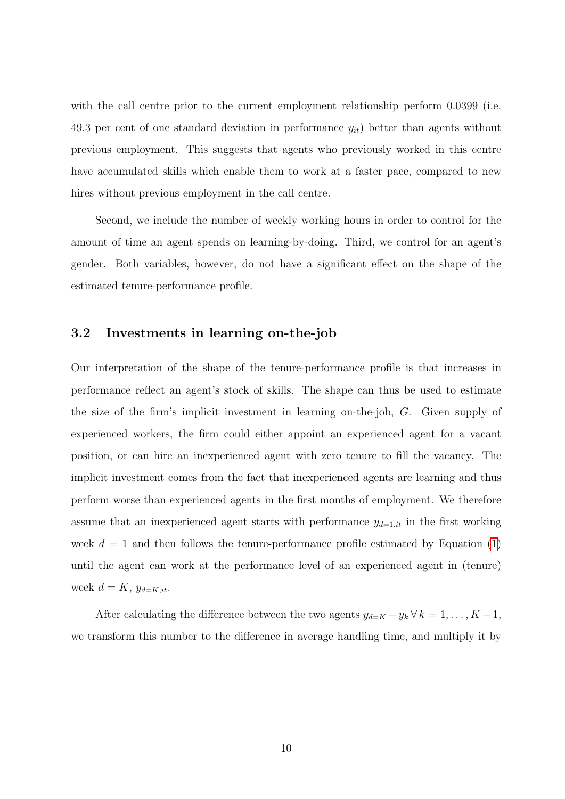with the call centre prior to the current employment relationship perform 0.0399 (i.e. 49.3 per cent of one standard deviation in performance  $y_{it}$  better than agents without previous employment. This suggests that agents who previously worked in this centre have accumulated skills which enable them to work at a faster pace, compared to new hires without previous employment in the call centre.

Second, we include the number of weekly working hours in order to control for the amount of time an agent spends on learning-by-doing. Third, we control for an agent's gender. Both variables, however, do not have a significant effect on the shape of the estimated tenure-performance profile.

#### 3.2 Investments in learning on-the-job

Our interpretation of the shape of the tenure-performance profile is that increases in performance reflect an agent's stock of skills. The shape can thus be used to estimate the size of the firm's implicit investment in learning on-the-job, G. Given supply of experienced workers, the firm could either appoint an experienced agent for a vacant position, or can hire an inexperienced agent with zero tenure to fill the vacancy. The implicit investment comes from the fact that inexperienced agents are learning and thus perform worse than experienced agents in the first months of employment. We therefore assume that an inexperienced agent starts with performance  $y_{d=1,it}$  in the first working week  $d = 1$  and then follows the tenure-performance profile estimated by Equation [\(1\)](#page-10-1) until the agent can work at the performance level of an experienced agent in (tenure) week  $d = K$ ,  $y_{d=K,it}$ .

After calculating the difference between the two agents  $y_{d=K} - y_k \forall k = 1, ..., K - 1$ , we transform this number to the difference in average handling time, and multiply it by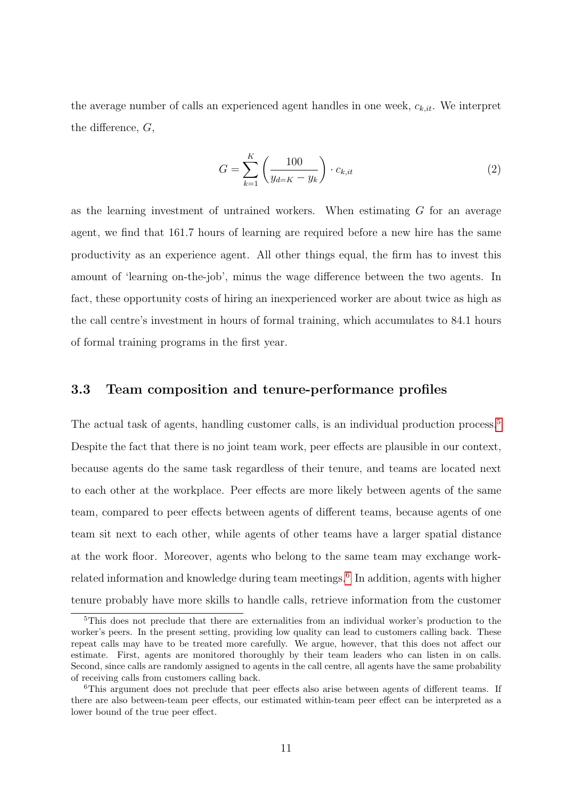the average number of calls an experienced agent handles in one week,  $c_{k,it}$ . We interpret the difference,  $G$ ,

<span id="page-13-0"></span>
$$
G = \sum_{k=1}^{K} \left( \frac{100}{y_{d=K} - y_k} \right) \cdot c_{k,it}
$$
 (2)

as the learning investment of untrained workers. When estimating G for an average agent, we find that 161.7 hours of learning are required before a new hire has the same productivity as an experience agent. All other things equal, the firm has to invest this amount of 'learning on-the-job', minus the wage difference between the two agents. In fact, these opportunity costs of hiring an inexperienced worker are about twice as high as the call centre's investment in hours of formal training, which accumulates to 84.1 hours of formal training programs in the first year.

#### 3.3 Team composition and tenure-performance profiles

The actual task of agents, handling customer calls, is an individual production process.<sup>[5](#page--1-0)</sup> Despite the fact that there is no joint team work, peer effects are plausible in our context, because agents do the same task regardless of their tenure, and teams are located next to each other at the workplace. Peer effects are more likely between agents of the same team, compared to peer effects between agents of different teams, because agents of one team sit next to each other, while agents of other teams have a larger spatial distance at the work floor. Moreover, agents who belong to the same team may exchange work-related information and knowledge during team meetings.<sup>[6](#page--1-0)</sup> In addition, agents with higher tenure probably have more skills to handle calls, retrieve information from the customer

<sup>&</sup>lt;sup>5</sup>This does not preclude that there are externalities from an individual worker's production to the worker's peers. In the present setting, providing low quality can lead to customers calling back. These repeat calls may have to be treated more carefully. We argue, however, that this does not affect our estimate. First, agents are monitored thoroughly by their team leaders who can listen in on calls. Second, since calls are randomly assigned to agents in the call centre, all agents have the same probability of receiving calls from customers calling back.

<sup>&</sup>lt;sup>6</sup>This argument does not preclude that peer effects also arise between agents of different teams. If there are also between-team peer effects, our estimated within-team peer effect can be interpreted as a lower bound of the true peer effect.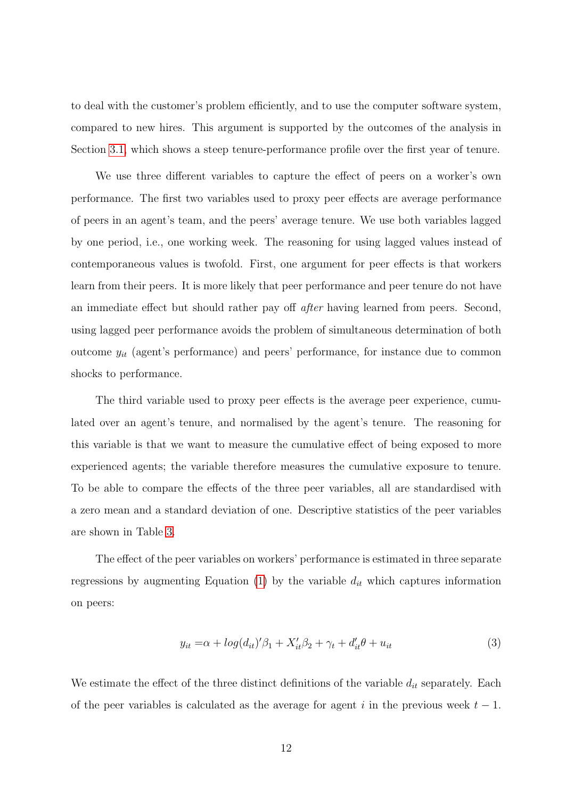to deal with the customer's problem efficiently, and to use the computer software system, compared to new hires. This argument is supported by the outcomes of the analysis in Section [3.1,](#page-10-2) which shows a steep tenure-performance profile over the first year of tenure.

We use three different variables to capture the effect of peers on a worker's own performance. The first two variables used to proxy peer effects are average performance of peers in an agent's team, and the peers' average tenure. We use both variables lagged by one period, i.e., one working week. The reasoning for using lagged values instead of contemporaneous values is twofold. First, one argument for peer effects is that workers learn from their peers. It is more likely that peer performance and peer tenure do not have an immediate effect but should rather pay off after having learned from peers. Second, using lagged peer performance avoids the problem of simultaneous determination of both outcome  $y_{it}$  (agent's performance) and peers' performance, for instance due to common shocks to performance.

The third variable used to proxy peer effects is the average peer experience, cumulated over an agent's tenure, and normalised by the agent's tenure. The reasoning for this variable is that we want to measure the cumulative effect of being exposed to more experienced agents; the variable therefore measures the cumulative exposure to tenure. To be able to compare the effects of the three peer variables, all are standardised with a zero mean and a standard deviation of one. Descriptive statistics of the peer variables are shown in Table [3.](#page-29-1)

The effect of the peer variables on workers' performance is estimated in three separate regressions by augmenting Equation [\(1\)](#page-10-1) by the variable  $d_{it}$  which captures information on peers:

<span id="page-14-0"></span>
$$
y_{it} = \alpha + \log(d_{it})'\beta_1 + X'_{it}\beta_2 + \gamma_t + d'_{it}\theta + u_{it}
$$
\n
$$
\tag{3}
$$

We estimate the effect of the three distinct definitions of the variable  $d_{it}$  separately. Each of the peer variables is calculated as the average for agent i in the previous week  $t - 1$ .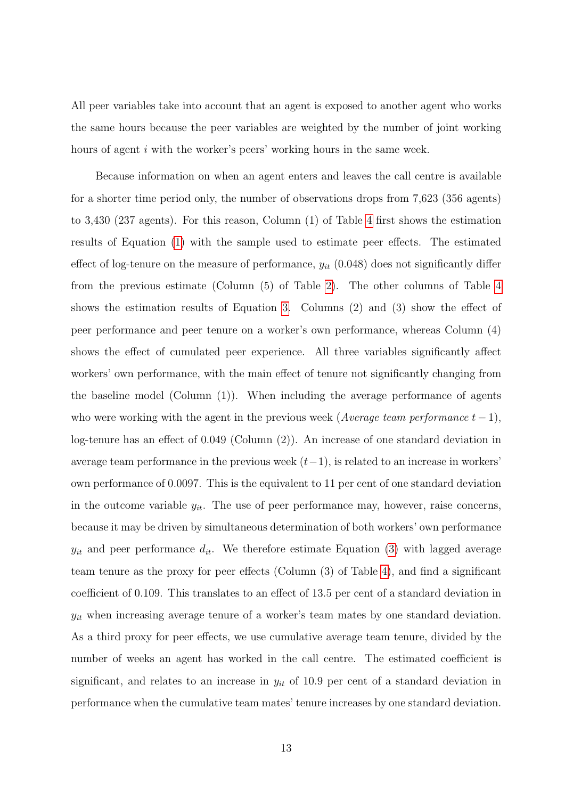All peer variables take into account that an agent is exposed to another agent who works the same hours because the peer variables are weighted by the number of joint working hours of agent *i* with the worker's peers' working hours in the same week.

Because information on when an agent enters and leaves the call centre is available for a shorter time period only, the number of observations drops from 7,623 (356 agents) to 3,430 (237 agents). For this reason, Column (1) of Table [4](#page-30-0) first shows the estimation results of Equation [\(1\)](#page-10-1) with the sample used to estimate peer effects. The estimated effect of log-tenure on the measure of performance,  $y_{it}$  (0.048) does not significantly differ from the previous estimate (Column (5) of Table [2\)](#page-29-0). The other columns of Table [4](#page-30-0) shows the estimation results of Equation [3.](#page-14-0) Columns (2) and (3) show the effect of peer performance and peer tenure on a worker's own performance, whereas Column (4) shows the effect of cumulated peer experience. All three variables significantly affect workers' own performance, with the main effect of tenure not significantly changing from the baseline model (Column (1)). When including the average performance of agents who were working with the agent in the previous week (Average team performance  $t - 1$ ), log-tenure has an effect of 0.049 (Column (2)). An increase of one standard deviation in average team performance in the previous week  $(t-1)$ , is related to an increase in workers' own performance of 0.0097. This is the equivalent to 11 per cent of one standard deviation in the outcome variable  $y_{it}$ . The use of peer performance may, however, raise concerns, because it may be driven by simultaneous determination of both workers' own performance  $y_{it}$  and peer performance  $d_{it}$ . We therefore estimate Equation [\(3\)](#page-14-0) with lagged average team tenure as the proxy for peer effects (Column (3) of Table [4\)](#page-30-0), and find a significant coefficient of 0.109. This translates to an effect of 13.5 per cent of a standard deviation in  $y_{it}$  when increasing average tenure of a worker's team mates by one standard deviation. As a third proxy for peer effects, we use cumulative average team tenure, divided by the number of weeks an agent has worked in the call centre. The estimated coefficient is significant, and relates to an increase in  $y_{it}$  of 10.9 per cent of a standard deviation in performance when the cumulative team mates' tenure increases by one standard deviation.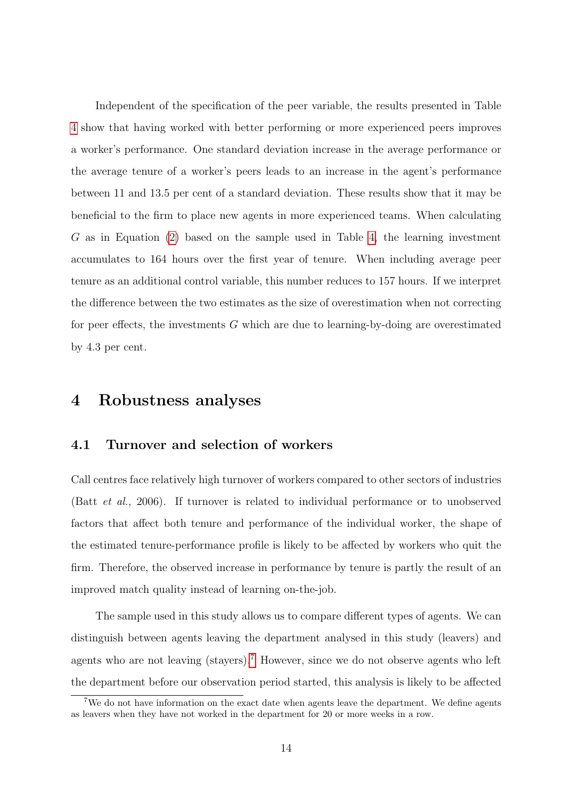Independent of the specification of the peer variable, the results presented in Table [4](#page-30-0) show that having worked with better performing or more experienced peers improves a worker's performance. One standard deviation increase in the average performance or the average tenure of a worker's peers leads to an increase in the agent's performance between 11 and 13.5 per cent of a standard deviation. These results show that it may be beneficial to the firm to place new agents in more experienced teams. When calculating G as in Equation [\(2\)](#page-13-0) based on the sample used in Table [4,](#page-30-0) the learning investment accumulates to 164 hours over the first year of tenure. When including average peer tenure as an additional control variable, this number reduces to 157 hours. If we interpret the difference between the two estimates as the size of overestimation when not correcting for peer effects, the investments G which are due to learning-by-doing are overestimated by 4.3 per cent.

### <span id="page-16-0"></span>4 Robustness analyses

#### 4.1 Turnover and selection of workers

Call centres face relatively high turnover of workers compared to other sectors of industries (Batt et al., 2006). If turnover is related to individual performance or to unobserved factors that affect both tenure and performance of the individual worker, the shape of the estimated tenure-performance profile is likely to be affected by workers who quit the firm. Therefore, the observed increase in performance by tenure is partly the result of an improved match quality instead of learning on-the-job.

The sample used in this study allows us to compare different types of agents. We can distinguish between agents leaving the department analysed in this study (leavers) and agents who are not leaving (stayers).<sup>[7](#page--1-0)</sup> However, since we do not observe agents who left the department before our observation period started, this analysis is likely to be affected

<sup>7</sup>We do not have information on the exact date when agents leave the department. We define agents as leavers when they have not worked in the department for 20 or more weeks in a row.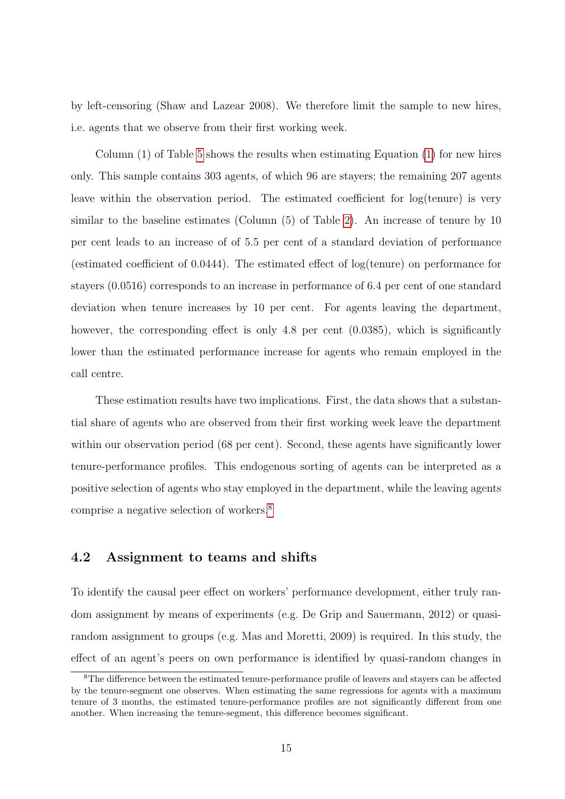by left-censoring (Shaw and Lazear 2008). We therefore limit the sample to new hires, i.e. agents that we observe from their first working week.

Column (1) of Table [5](#page-31-0) shows the results when estimating Equation [\(1\)](#page-10-1) for new hires only. This sample contains 303 agents, of which 96 are stayers; the remaining 207 agents leave within the observation period. The estimated coefficient for log(tenure) is very similar to the baseline estimates (Column (5) of Table [2\)](#page-29-0). An increase of tenure by 10 per cent leads to an increase of of 5.5 per cent of a standard deviation of performance (estimated coefficient of 0.0444). The estimated effect of log(tenure) on performance for stayers (0.0516) corresponds to an increase in performance of 6.4 per cent of one standard deviation when tenure increases by 10 per cent. For agents leaving the department, however, the corresponding effect is only 4.8 per cent  $(0.0385)$ , which is significantly lower than the estimated performance increase for agents who remain employed in the call centre.

These estimation results have two implications. First, the data shows that a substantial share of agents who are observed from their first working week leave the department within our observation period (68 per cent). Second, these agents have significantly lower tenure-performance profiles. This endogenous sorting of agents can be interpreted as a positive selection of agents who stay employed in the department, while the leaving agents comprise a negative selection of workers.[8](#page--1-0)

#### 4.2 Assignment to teams and shifts

To identify the causal peer effect on workers' performance development, either truly random assignment by means of experiments (e.g. De Grip and Sauermann, 2012) or quasirandom assignment to groups (e.g. Mas and Moretti, 2009) is required. In this study, the effect of an agent's peers on own performance is identified by quasi-random changes in

<sup>&</sup>lt;sup>8</sup>The difference between the estimated tenure-performance profile of leavers and stayers can be affected by the tenure-segment one observes. When estimating the same regressions for agents with a maximum tenure of 3 months, the estimated tenure-performance profiles are not significantly different from one another. When increasing the tenure-segment, this difference becomes significant.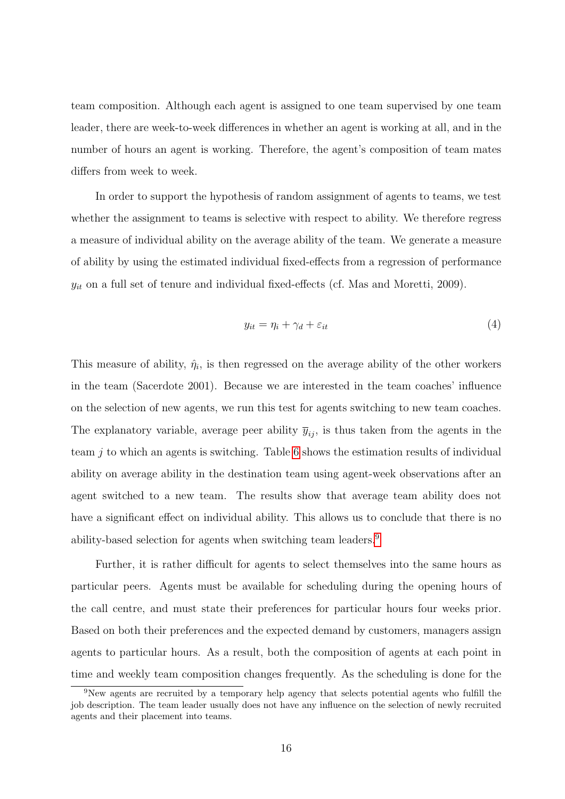team composition. Although each agent is assigned to one team supervised by one team leader, there are week-to-week differences in whether an agent is working at all, and in the number of hours an agent is working. Therefore, the agent's composition of team mates differs from week to week.

In order to support the hypothesis of random assignment of agents to teams, we test whether the assignment to teams is selective with respect to ability. We therefore regress a measure of individual ability on the average ability of the team. We generate a measure of ability by using the estimated individual fixed-effects from a regression of performance  $y_{it}$  on a full set of tenure and individual fixed-effects (cf. Mas and Moretti, 2009).

<span id="page-18-0"></span>
$$
y_{it} = \eta_i + \gamma_d + \varepsilon_{it} \tag{4}
$$

This measure of ability,  $\hat{\eta}_i$ , is then regressed on the average ability of the other workers in the team (Sacerdote 2001). Because we are interested in the team coaches' influence on the selection of new agents, we run this test for agents switching to new team coaches. The explanatory variable, average peer ability  $\bar{y}_{ij}$ , is thus taken from the agents in the team  $i$  to which an agents is switching. Table [6](#page-31-1) shows the estimation results of individual ability on average ability in the destination team using agent-week observations after an agent switched to a new team. The results show that average team ability does not have a significant effect on individual ability. This allows us to conclude that there is no ability-based selection for agents when switching team leaders.[9](#page--1-0)

Further, it is rather difficult for agents to select themselves into the same hours as particular peers. Agents must be available for scheduling during the opening hours of the call centre, and must state their preferences for particular hours four weeks prior. Based on both their preferences and the expected demand by customers, managers assign agents to particular hours. As a result, both the composition of agents at each point in time and weekly team composition changes frequently. As the scheduling is done for the

<sup>9</sup>New agents are recruited by a temporary help agency that selects potential agents who fulfill the job description. The team leader usually does not have any influence on the selection of newly recruited agents and their placement into teams.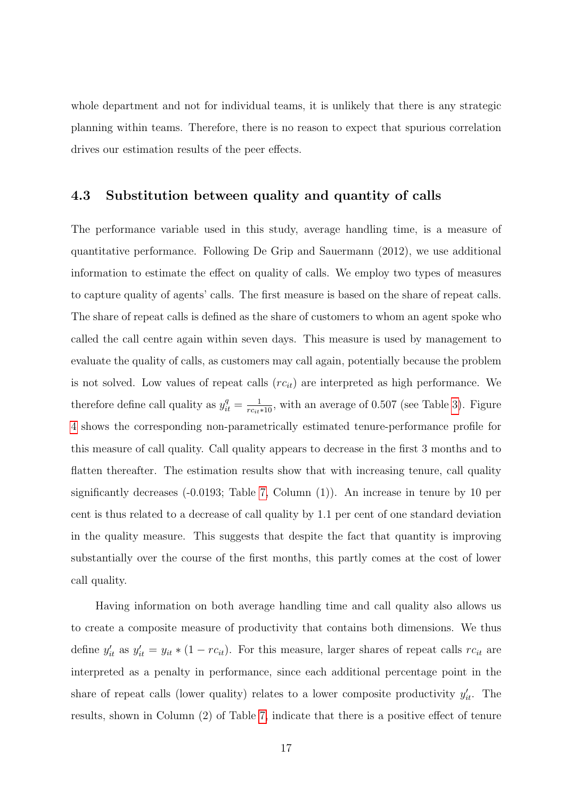whole department and not for individual teams, it is unlikely that there is any strategic planning within teams. Therefore, there is no reason to expect that spurious correlation drives our estimation results of the peer effects.

#### <span id="page-19-0"></span>4.3 Substitution between quality and quantity of calls

The performance variable used in this study, average handling time, is a measure of quantitative performance. Following De Grip and Sauermann (2012), we use additional information to estimate the effect on quality of calls. We employ two types of measures to capture quality of agents' calls. The first measure is based on the share of repeat calls. The share of repeat calls is defined as the share of customers to whom an agent spoke who called the call centre again within seven days. This measure is used by management to evaluate the quality of calls, as customers may call again, potentially because the problem is not solved. Low values of repeat calls  $(rc_{it})$  are interpreted as high performance. We therefore define call quality as  $y_{it}^q = \frac{1}{rc_{it}*10}$ , with an average of 0.507 (see Table [3\)](#page-29-1). Figure [4](#page-27-1) shows the corresponding non-parametrically estimated tenure-performance profile for this measure of call quality. Call quality appears to decrease in the first 3 months and to flatten thereafter. The estimation results show that with increasing tenure, call quality significantly decreases (-0.0193; Table [7,](#page-32-0) Column (1)). An increase in tenure by 10 per cent is thus related to a decrease of call quality by 1.1 per cent of one standard deviation in the quality measure. This suggests that despite the fact that quantity is improving substantially over the course of the first months, this partly comes at the cost of lower call quality.

Having information on both average handling time and call quality also allows us to create a composite measure of productivity that contains both dimensions. We thus define  $y'_{it}$  as  $y'_{it} = y_{it} * (1 - rc_{it})$ . For this measure, larger shares of repeat calls  $rc_{it}$  are interpreted as a penalty in performance, since each additional percentage point in the share of repeat calls (lower quality) relates to a lower composite productivity  $y'_{it}$ . The results, shown in Column (2) of Table [7,](#page-32-0) indicate that there is a positive effect of tenure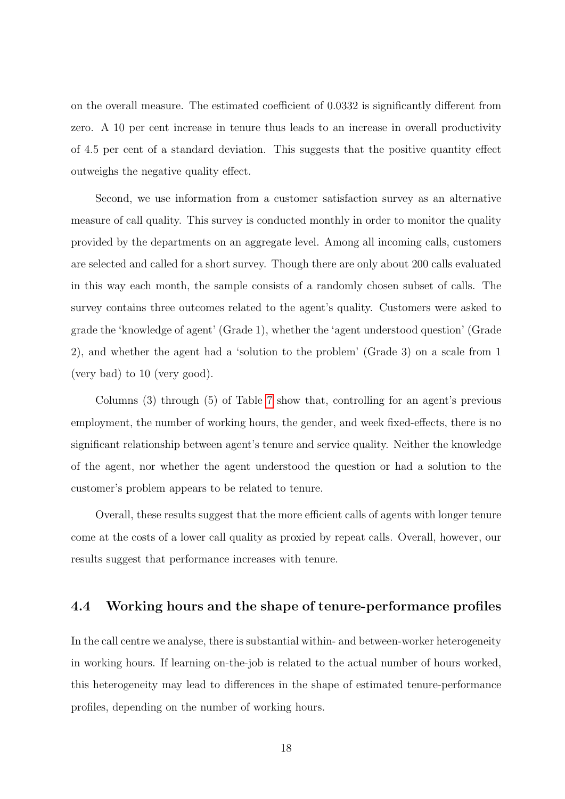on the overall measure. The estimated coefficient of 0.0332 is significantly different from zero. A 10 per cent increase in tenure thus leads to an increase in overall productivity of 4.5 per cent of a standard deviation. This suggests that the positive quantity effect outweighs the negative quality effect.

Second, we use information from a customer satisfaction survey as an alternative measure of call quality. This survey is conducted monthly in order to monitor the quality provided by the departments on an aggregate level. Among all incoming calls, customers are selected and called for a short survey. Though there are only about 200 calls evaluated in this way each month, the sample consists of a randomly chosen subset of calls. The survey contains three outcomes related to the agent's quality. Customers were asked to grade the 'knowledge of agent' (Grade 1), whether the 'agent understood question' (Grade 2), and whether the agent had a 'solution to the problem' (Grade 3) on a scale from 1 (very bad) to 10 (very good).

Columns (3) through (5) of Table [7](#page-32-0) show that, controlling for an agent's previous employment, the number of working hours, the gender, and week fixed-effects, there is no significant relationship between agent's tenure and service quality. Neither the knowledge of the agent, nor whether the agent understood the question or had a solution to the customer's problem appears to be related to tenure.

Overall, these results suggest that the more efficient calls of agents with longer tenure come at the costs of a lower call quality as proxied by repeat calls. Overall, however, our results suggest that performance increases with tenure.

#### 4.4 Working hours and the shape of tenure-performance profiles

In the call centre we analyse, there is substantial within- and between-worker heterogeneity in working hours. If learning on-the-job is related to the actual number of hours worked, this heterogeneity may lead to differences in the shape of estimated tenure-performance profiles, depending on the number of working hours.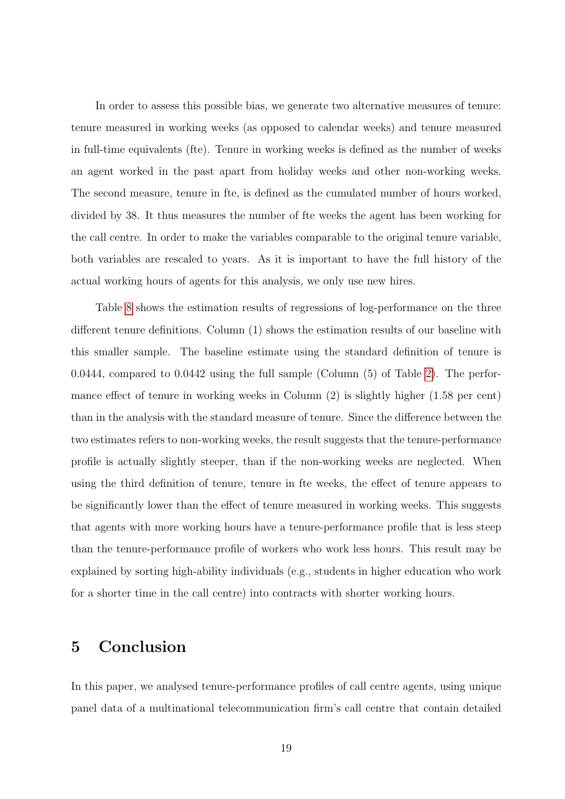In order to assess this possible bias, we generate two alternative measures of tenure: tenure measured in working weeks (as opposed to calendar weeks) and tenure measured in full-time equivalents (fte). Tenure in working weeks is defined as the number of weeks an agent worked in the past apart from holiday weeks and other non-working weeks. The second measure, tenure in fte, is defined as the cumulated number of hours worked, divided by 38. It thus measures the number of fte weeks the agent has been working for the call centre. In order to make the variables comparable to the original tenure variable, both variables are rescaled to years. As it is important to have the full history of the actual working hours of agents for this analysis, we only use new hires.

Table [8](#page-33-0) shows the estimation results of regressions of log-performance on the three different tenure definitions. Column (1) shows the estimation results of our baseline with this smaller sample. The baseline estimate using the standard definition of tenure is 0.0444, compared to 0.0442 using the full sample (Column (5) of Table [2\)](#page-29-0). The performance effect of tenure in working weeks in Column (2) is slightly higher (1.58 per cent) than in the analysis with the standard measure of tenure. Since the difference between the two estimates refers to non-working weeks, the result suggests that the tenure-performance profile is actually slightly steeper, than if the non-working weeks are neglected. When using the third definition of tenure, tenure in fte weeks, the effect of tenure appears to be significantly lower than the effect of tenure measured in working weeks. This suggests that agents with more working hours have a tenure-performance profile that is less steep than the tenure-performance profile of workers who work less hours. This result may be explained by sorting high-ability individuals (e.g., students in higher education who work for a shorter time in the call centre) into contracts with shorter working hours.

### <span id="page-21-0"></span>5 Conclusion

In this paper, we analysed tenure-performance profiles of call centre agents, using unique panel data of a multinational telecommunication firm's call centre that contain detailed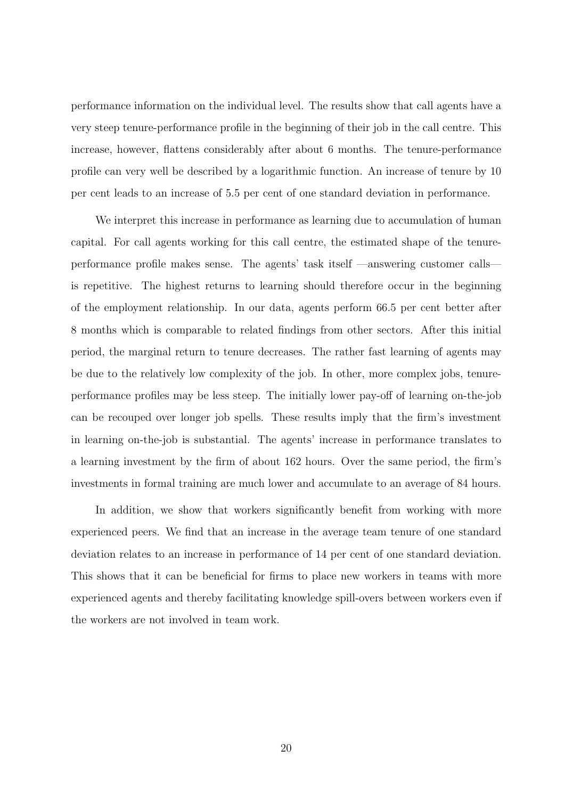performance information on the individual level. The results show that call agents have a very steep tenure-performance profile in the beginning of their job in the call centre. This increase, however, flattens considerably after about 6 months. The tenure-performance profile can very well be described by a logarithmic function. An increase of tenure by 10 per cent leads to an increase of 5.5 per cent of one standard deviation in performance.

We interpret this increase in performance as learning due to accumulation of human capital. For call agents working for this call centre, the estimated shape of the tenureperformance profile makes sense. The agents' task itself —answering customer calls is repetitive. The highest returns to learning should therefore occur in the beginning of the employment relationship. In our data, agents perform 66.5 per cent better after 8 months which is comparable to related findings from other sectors. After this initial period, the marginal return to tenure decreases. The rather fast learning of agents may be due to the relatively low complexity of the job. In other, more complex jobs, tenureperformance profiles may be less steep. The initially lower pay-off of learning on-the-job can be recouped over longer job spells. These results imply that the firm's investment in learning on-the-job is substantial. The agents' increase in performance translates to a learning investment by the firm of about 162 hours. Over the same period, the firm's investments in formal training are much lower and accumulate to an average of 84 hours.

In addition, we show that workers significantly benefit from working with more experienced peers. We find that an increase in the average team tenure of one standard deviation relates to an increase in performance of 14 per cent of one standard deviation. This shows that it can be beneficial for firms to place new workers in teams with more experienced agents and thereby facilitating knowledge spill-overs between workers even if the workers are not involved in team work.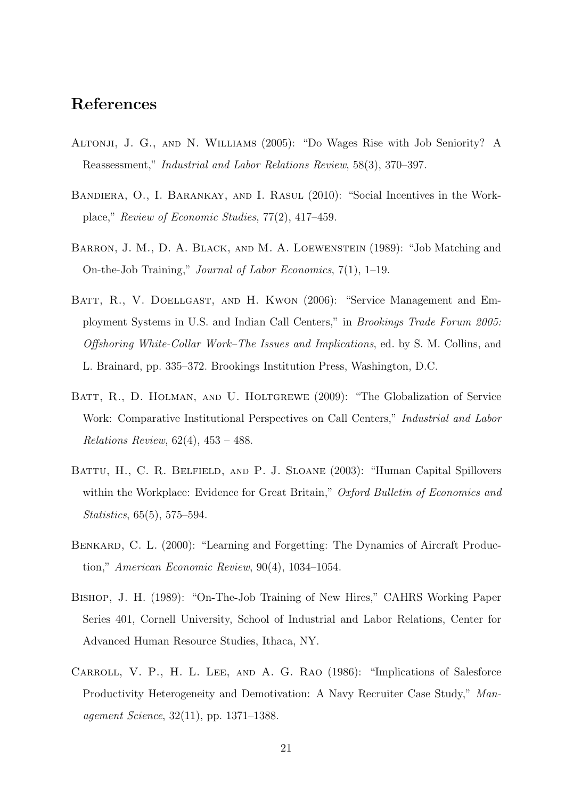### References

- Altonji, J. G., and N. Williams (2005): "Do Wages Rise with Job Seniority? A Reassessment," Industrial and Labor Relations Review, 58(3), 370–397.
- BANDIERA, O., I. BARANKAY, AND I. RASUL (2010): "Social Incentives in the Workplace," Review of Economic Studies, 77(2), 417–459.
- Barron, J. M., D. A. Black, and M. A. Loewenstein (1989): "Job Matching and On-the-Job Training," Journal of Labor Economics, 7(1), 1–19.
- BATT, R., V. DOELLGAST, AND H. KWON (2006): "Service Management and Employment Systems in U.S. and Indian Call Centers," in Brookings Trade Forum 2005: Offshoring White-Collar Work–The Issues and Implications, ed. by S. M. Collins, and L. Brainard, pp. 335–372. Brookings Institution Press, Washington, D.C.
- BATT, R., D. HOLMAN, AND U. HOLTGREWE (2009): "The Globalization of Service Work: Comparative Institutional Perspectives on Call Centers," Industrial and Labor Relations Review, 62(4), 453 – 488.
- BATTU, H., C. R. BELFIELD, AND P. J. SLOANE (2003): "Human Capital Spillovers within the Workplace: Evidence for Great Britain," Oxford Bulletin of Economics and Statistics, 65(5), 575–594.
- BENKARD, C. L. (2000): "Learning and Forgetting: The Dynamics of Aircraft Production," American Economic Review, 90(4), 1034–1054.
- Bishop, J. H. (1989): "On-The-Job Training of New Hires," CAHRS Working Paper Series 401, Cornell University, School of Industrial and Labor Relations, Center for Advanced Human Resource Studies, Ithaca, NY.
- Carroll, V. P., H. L. Lee, and A. G. Rao (1986): "Implications of Salesforce Productivity Heterogeneity and Demotivation: A Navy Recruiter Case Study," Management Science, 32(11), pp. 1371–1388.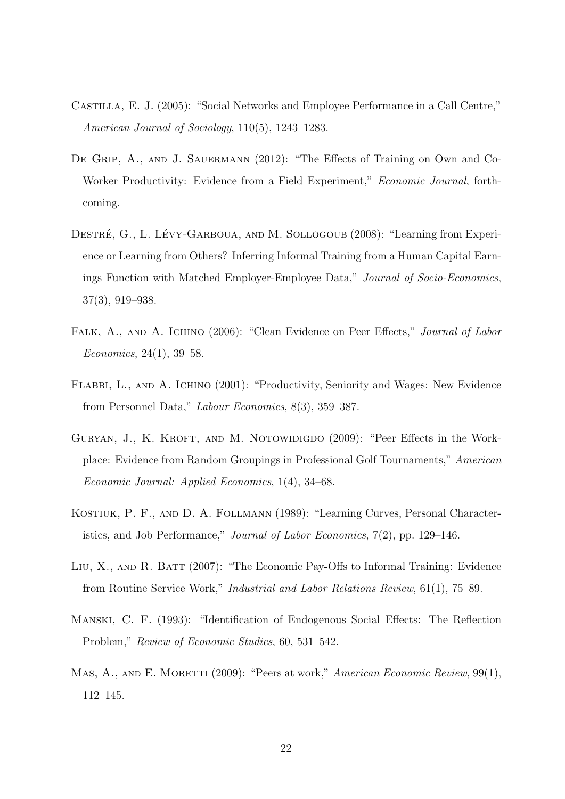- Castilla, E. J. (2005): "Social Networks and Employee Performance in a Call Centre," American Journal of Sociology, 110(5), 1243–1283.
- DE GRIP, A., AND J. SAUERMANN (2012): "The Effects of Training on Own and Co-Worker Productivity: Evidence from a Field Experiment," Economic Journal, forthcoming.
- DESTRÉ, G., L. LÉVY-GARBOUA, AND M. SOLLOGOUB (2008): "Learning from Experience or Learning from Others? Inferring Informal Training from a Human Capital Earnings Function with Matched Employer-Employee Data," Journal of Socio-Economics, 37(3), 919–938.
- FALK, A., AND A. ICHINO (2006): "Clean Evidence on Peer Effects," Journal of Labor Economics, 24(1), 39–58.
- Flabbi, L., and A. Ichino (2001): "Productivity, Seniority and Wages: New Evidence from Personnel Data," Labour Economics, 8(3), 359–387.
- GURYAN, J., K. KROFT, AND M. NOTOWIDIGDO (2009): "Peer Effects in the Workplace: Evidence from Random Groupings in Professional Golf Tournaments," American Economic Journal: Applied Economics, 1(4), 34–68.
- Kostiuk, P. F., and D. A. Follmann (1989): "Learning Curves, Personal Characteristics, and Job Performance," Journal of Labor Economics, 7(2), pp. 129–146.
- Liu, X., and R. Batt (2007): "The Economic Pay-Offs to Informal Training: Evidence from Routine Service Work," Industrial and Labor Relations Review, 61(1), 75–89.
- Manski, C. F. (1993): "Identification of Endogenous Social Effects: The Reflection Problem," Review of Economic Studies, 60, 531–542.
- MAS, A., AND E. MORETTI (2009): "Peers at work," American Economic Review, 99(1), 112–145.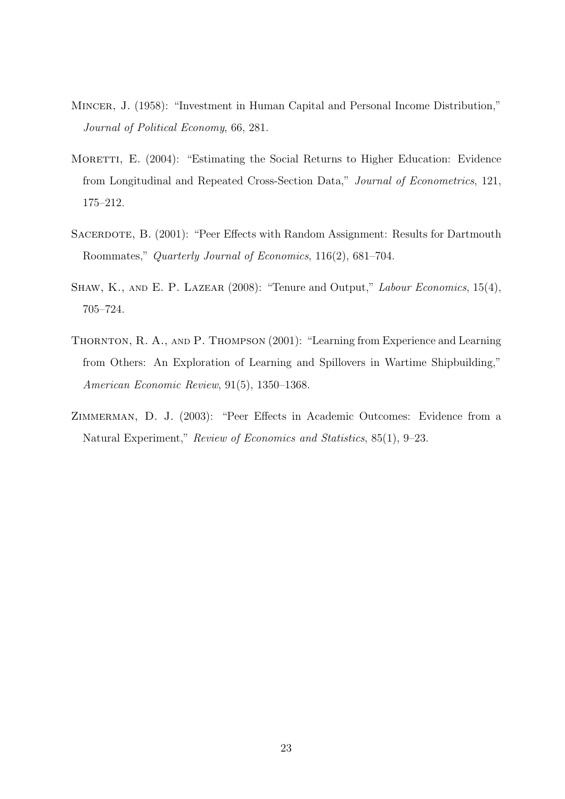- Mincer, J. (1958): "Investment in Human Capital and Personal Income Distribution," Journal of Political Economy, 66, 281.
- MORETTI, E. (2004): "Estimating the Social Returns to Higher Education: Evidence from Longitudinal and Repeated Cross-Section Data," Journal of Econometrics, 121, 175–212.
- SACERDOTE, B. (2001): "Peer Effects with Random Assignment: Results for Dartmouth Roommates," Quarterly Journal of Economics, 116(2), 681–704.
- SHAW, K., AND E. P. LAZEAR (2008): "Tenure and Output," Labour Economics, 15(4), 705–724.
- THORNTON, R. A., AND P. THOMPSON (2001): "Learning from Experience and Learning from Others: An Exploration of Learning and Spillovers in Wartime Shipbuilding," American Economic Review, 91(5), 1350–1368.
- Zimmerman, D. J. (2003): "Peer Effects in Academic Outcomes: Evidence from a Natural Experiment," Review of Economics and Statistics, 85(1), 9–23.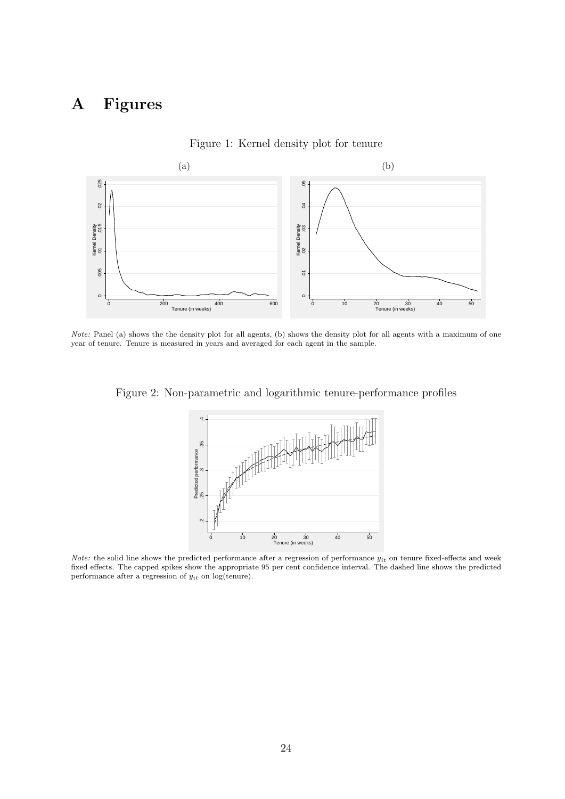# A Figures

<span id="page-26-0"></span>

Figure 1: Kernel density plot for tenure

Note: Panel (a) shows the the density plot for all agents, (b) shows the density plot for all agents with a maximum of one year of tenure. Tenure is measured in years and averaged for each agent in the sample.

<span id="page-26-1"></span>Figure 2: Non-parametric and logarithmic tenure-performance profiles



*Note:* the solid line shows the predicted performance after a regression of performance  $y_{it}$  on tenure fixed-effects and week fixed effects. The capped spikes show the appropriate 95 per cent confidence interval. The dashed line shows the predicted performance after a regression of  $y_{it}$  on log(tenure).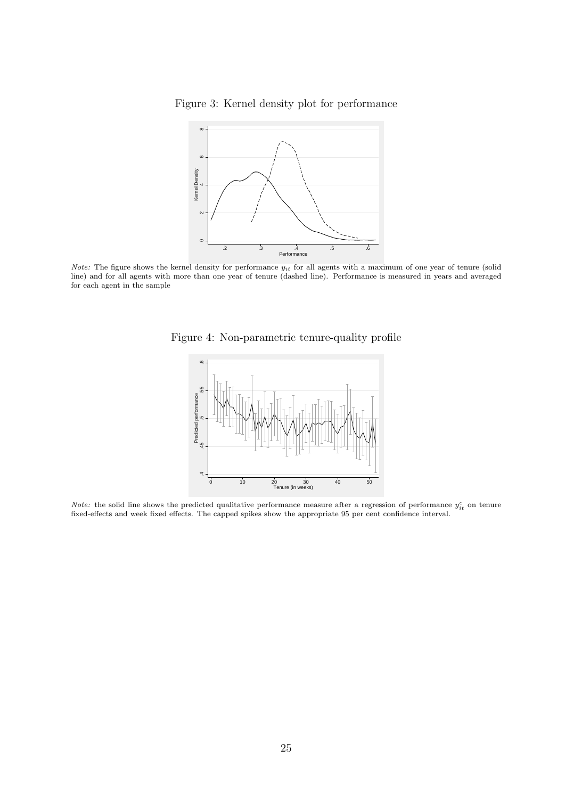<span id="page-27-0"></span>Figure 3: Kernel density plot for performance



<span id="page-27-1"></span>*Note:* The figure shows the kernel density for performance  $y_{it}$  for all agents with a maximum of one year of tenure (solid line) and for all agents with more than one year of tenure (dashed line). Performance is measured in years and averaged for each agent in the sample





*Note:* the solid line shows the predicted qualitative performance measure after a regression of performance  $y_{it}^c$  on tenure fixed-effects and week fixed effects. The capped spikes show the appropriate 95 per cent confidence interval.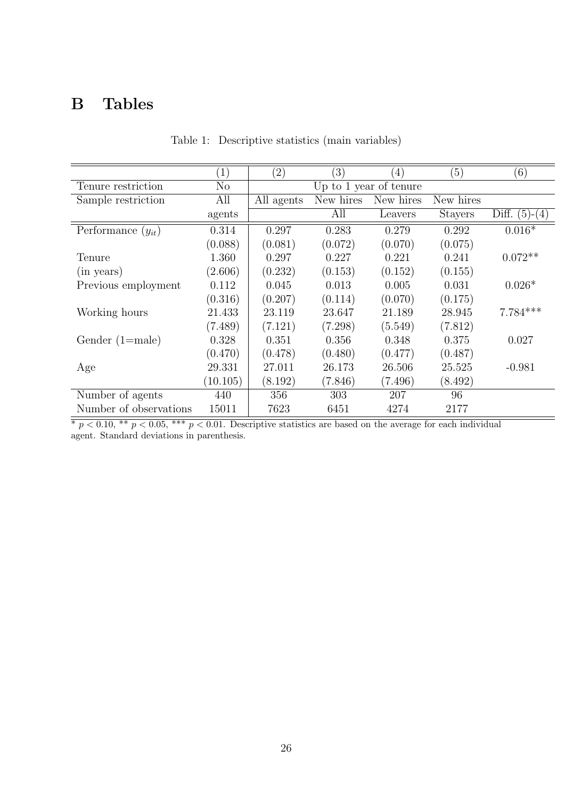# <span id="page-28-0"></span>B Tables

|                        | $\left(1\right)$ | $\left( 2\right)$      | $\left(3\right)$ | $\left(4\right)$ | (5)            | (6)                |
|------------------------|------------------|------------------------|------------------|------------------|----------------|--------------------|
| Tenure restriction     | $\rm No$         | Up to 1 year of tenure |                  |                  |                |                    |
| Sample restriction     | All              | All agents             | New hires        | New hires        | New hires      |                    |
|                        | agents           |                        | All              | Leavers          | <b>Stayers</b> | Diff.<br>$(5)-(4)$ |
| Performance $(y_{it})$ | 0.314            | 0.297                  | 0.283            | 0.279            | 0.292          | $0.016*$           |
|                        | (0.088)          | (0.081)                | (0.072)          | (0.070)          | (0.075)        |                    |
| Tenure                 | 1.360            | 0.297                  | 0.227            | 0.221            | 0.241          | $0.072**$          |
| (in years)             | (2.606)          | (0.232)                | (0.153)          | (0.152)          | (0.155)        |                    |
| Previous employment    | 0.112            | 0.045                  | 0.013            | 0.005            | 0.031          | $0.026*$           |
|                        | (0.316)          | (0.207)                | (0.114)          | (0.070)          | (0.175)        |                    |
| Working hours          | 21.433           | 23.119                 | 23.647           | 21.189           | 28.945         | $7.784***$         |
|                        | (7.489)          | (7.121)                | (7.298)          | (5.549)          | (7.812)        |                    |
| Gender $(1=male)$      | 0.328            | 0.351                  | 0.356            | 0.348            | 0.375          | 0.027              |
|                        | (0.470)          | (0.478)                | (0.480)          | (0.477)          | (0.487)        |                    |
| Age                    | 29.331           | 27.011                 | 26.173           | 26.506           | 25.525         | $-0.981$           |
|                        | (10.105)         | (8.192)                | (7.846)          | (7.496)          | (8.492)        |                    |
| Number of agents       | 440              | 356                    | 303              | 207              | 96             |                    |
| Number of observations | 15011            | 7623                   | 6451             | 4274             | 2177           |                    |

Table 1: Descriptive statistics (main variables)

\* p < 0.10, \*\* p < 0.05, \*\*\* p < 0.01. Descriptive statistics are based on the average for each individual agent. Standard deviations in parenthesis.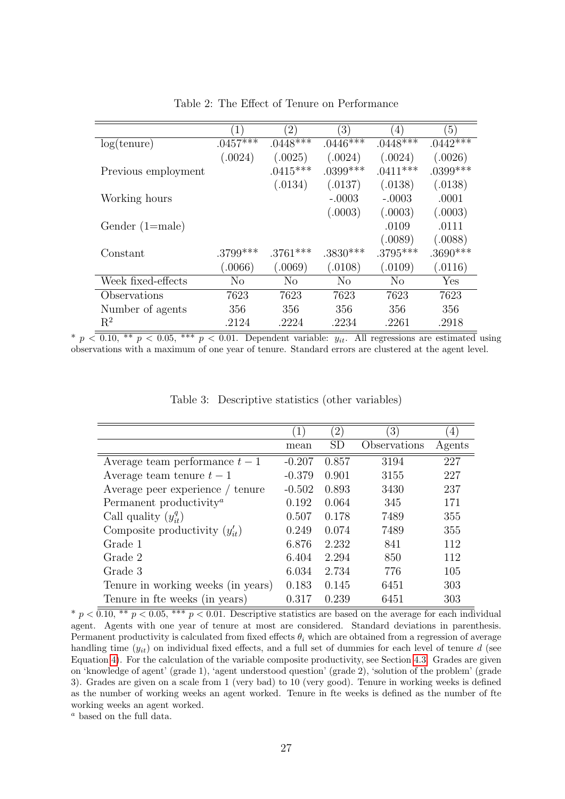<span id="page-29-0"></span>

|                     | $\left(1\right)$ | $^{'}2)$    | $\left(3\right)$ | $\left(4\right)$ | $\left(5\right)$ |
|---------------------|------------------|-------------|------------------|------------------|------------------|
| log(tenure)         | $.0457***$       | $.0448****$ | $.0446****$      | $.0448****$      | $.0442***$       |
|                     | (.0024)          | (.0025)     | (.0024)          | (.0024)          | (.0026)          |
| Previous employment |                  | $.0415***$  | $.0399***$       | $.0411***$       | $.0399***$       |
|                     |                  | (.0134)     | (.0137)          | (.0138)          | (.0138)          |
| Working hours       |                  |             | $-.0003$         | $-.0003$         | .0001            |
|                     |                  |             | (.0003)          | (.0003)          | (.0003)          |
| Gender $(1=male)$   |                  |             |                  | .0109            | .0111            |
|                     |                  |             |                  | (.0089)          | (.0088)          |
| Constant            | $.3799***$       | $.3761***$  | $.3830***$       | $.3795***$       | $.3690***$       |
|                     | (0.0066)         | (0.069)     | (.0108)          | (.0109)          | (.0116)          |
| Week fixed-effects  | No               | $\rm No$    | No               | N <sub>o</sub>   | Yes              |
| Observations        | 7623             | 7623        | 7623             | 7623             | 7623             |
| Number of agents    | 356              | 356         | 356              | 356              | 356              |
| $R^2$               | .2124            | .2224       | .2234            | .2261            | .2918            |

Table 2: The Effect of Tenure on Performance

\*  $p < 0.10$ , \*\*  $p < 0.05$ , \*\*\*  $p < 0.01$ . Dependent variable:  $y_{it}$ . All regressions are estimated using observations with a maximum of one year of tenure. Standard errors are clustered at the agent level.

<span id="page-29-1"></span>

|                                                  | $\left(1\right)$ | $^{\prime}2)$ | $\left(3\right)$ | (4)    |
|--------------------------------------------------|------------------|---------------|------------------|--------|
|                                                  | mean             | SD            | Observations     | Agents |
| Average team performance $t-1$                   | $-0.207$         | 0.857         | 3194             | 227    |
| Average team tenure $t-1$                        | $-0.379$         | 0.901         | 3155             | 227    |
| Average peer experience / tenure                 | $-0.502$         | 0.893         | 3430             | 237    |
| Permanent productivity <sup><math>a</math></sup> | 0.192            | 0.064         | 345              | 171    |
| Call quality $(y_{it}^q)$                        | 0.507            | 0.178         | 7489             | 355    |
| Composite productivity $(y_{it}')$               | 0.249            | 0.074         | 7489             | 355    |
| Grade 1                                          | 6.876            | 2.232         | 841              | 112    |
| Grade 2                                          | 6.404            | 2.294         | 850              | 112    |
| Grade 3                                          | 6.034            | 2.734         | 776              | 105    |
| Tenure in working weeks (in years)               | 0.183            | 0.145         | 6451             | 303    |
| Tenure in fte weeks (in years)                   | 0.317            | 0.239         | 6451             | 303    |

Table 3: Descriptive statistics (other variables)

\*  $p < 0.10$ , \*\*  $p < 0.05$ , \*\*\*  $p < 0.01$ . Descriptive statistics are based on the average for each individual agent. Agents with one year of tenure at most are considered. Standard deviations in parenthesis. Permanent productivity is calculated from fixed effects  $\theta_i$  which are obtained from a regression of average handling time  $(y_{it})$  on individual fixed effects, and a full set of dummies for each level of tenure d (see Equation [4\)](#page-18-0). For the calculation of the variable composite productivity, see Section [4.3.](#page-19-0) Grades are given on 'knowledge of agent' (grade 1), 'agent understood question' (grade 2), 'solution of the problem' (grade 3). Grades are given on a scale from 1 (very bad) to 10 (very good). Tenure in working weeks is defined as the number of working weeks an agent worked. Tenure in fte weeks is defined as the number of fte working weeks an agent worked.

<sup>a</sup> based on the full data.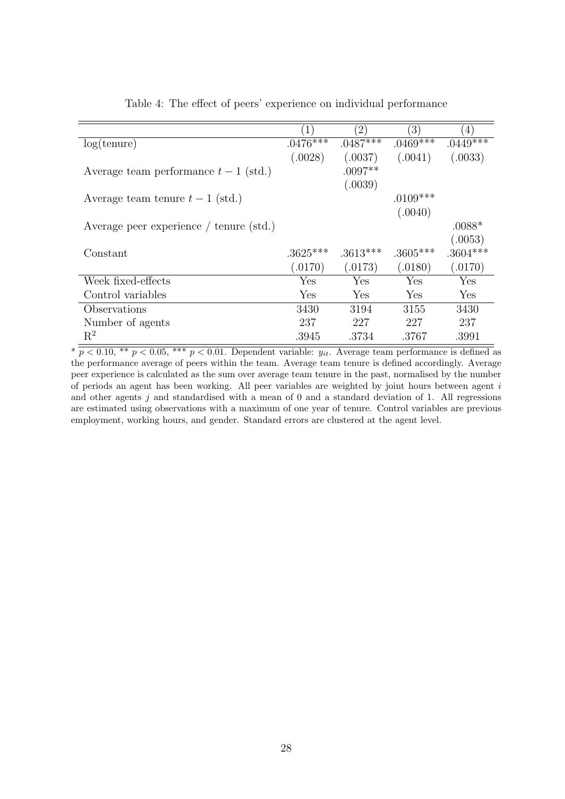<span id="page-30-0"></span>

|                                         |            | (2)        | $\left(3\right)$ | (4)        |
|-----------------------------------------|------------|------------|------------------|------------|
| log(tenure)                             | $.0476***$ | $.0487***$ | $.0469***$       | $.0449***$ |
|                                         | (.0028)    | (.0037)    | (.0041)          | (.0033)    |
| Average team performance $t-1$ (std.)   |            | $.0097**$  |                  |            |
|                                         |            | (.0039)    |                  |            |
| Average team tenure $t-1$ (std.)        |            |            | $.0109***$       |            |
|                                         |            |            | (.0040)          |            |
| Average peer experience / tenure (std.) |            |            |                  | $.0088*$   |
|                                         |            |            |                  | (.0053)    |
| Constant                                | $.3625***$ | $.3613***$ | $.3605***$       | $.3604***$ |
|                                         | (.0170)    | (.0173)    | (.0180)          | (.0170)    |
| Week fixed-effects                      | Yes        | Yes        | Yes              | Yes        |
| Control variables                       | Yes        | Yes        | Yes              | Yes        |
| Observations                            | 3430       | 3194       | 3155             | 3430       |
| Number of agents                        | 237        | 227        | 227              | 237        |
| $\mathbf{R}^2$                          | .3945      | .3734      | .3767            | .3991      |

Table 4: The effect of peers' experience on individual performance

 $*\overline{p\leq 0.10, ** p\leq 0.05,*** p\leq 0.01.}$  Dependent variable:  $y_{it}$ . Average team performance is defined as the performance average of peers within the team. Average team tenure is defined accordingly. Average peer experience is calculated as the sum over average team tenure in the past, normalised by the number of periods an agent has been working. All peer variables are weighted by joint hours between agent  $i$ and other agents  $j$  and standardised with a mean of 0 and a standard deviation of 1. All regressions are estimated using observations with a maximum of one year of tenure. Control variables are previous employment, working hours, and gender. Standard errors are clustered at the agent level.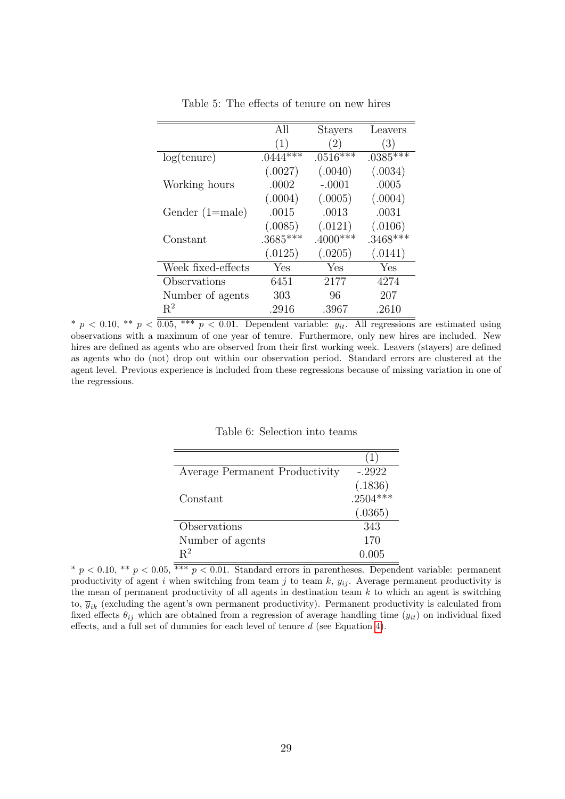<span id="page-31-0"></span>

|                    | All        | <b>Stayers</b> | Leavers    |
|--------------------|------------|----------------|------------|
|                    | (1)        | (2)            | (3)        |
| log(tenure)        | $.0444***$ | $.0516***$     | $.0385***$ |
|                    | (.0027)    | (.0040)        | (.0034)    |
| Working hours      | .0002      | $-.0001$       | .0005      |
|                    | (.0004)    | (.0005)        | (.0004)    |
| Gender $(1=male)$  | .0015      | .0013          | .0031      |
|                    | (.0085)    | (.0121)        | (.0106)    |
| Constant           | $.3685***$ | $.4000***$     | $.3468***$ |
|                    | (.0125)    | (.0205)        | (.0141)    |
| Week fixed-effects | Yes        | Yes            | Yes        |
| Observations       | 6451       | 2177           | 4274       |
| Number of agents   | 303        | 96             | 207        |
| $R^2$              | .2916      | .3967          | .2610      |

Table 5: The effects of tenure on new hires

<span id="page-31-1"></span>\*  $p < 0.10$ , \*\*  $p < 0.05$ , \*\*\*  $p < 0.01$ . Dependent variable:  $y_{it}$ . All regressions are estimated using observations with a maximum of one year of tenure. Furthermore, only new hires are included. New hires are defined as agents who are observed from their first working week. Leavers (stayers) are defined as agents who do (not) drop out within our observation period. Standard errors are clustered at the agent level. Previous experience is included from these regressions because of missing variation in one of the regressions.

Table 6: Selection into teams

|                                | (1)                     |
|--------------------------------|-------------------------|
| Average Permanent Productivity | $-.2922$                |
|                                | $(.1836)$<br>$.2504***$ |
| Constant                       |                         |
|                                | (.0365)                 |
| Observations                   | 343                     |
| Number of agents               | 170                     |
| $R^2$                          | 0.005                   |

 $*$  p  $<$  0.10,  $**$  p  $<$  0.05,  $***$  p  $<$  0.01. Standard errors in parentheses. Dependent variable: permanent productivity of agent i when switching from team j to team  $k$ ,  $y_{ij}$ . Average permanent productivity is the mean of permanent productivity of all agents in destination team  $k$  to which an agent is switching to,  $\bar{y}_{ik}$  (excluding the agent's own permanent productivity). Permanent productivity is calculated from fixed effects  $\theta_{ij}$  which are obtained from a regression of average handling time  $(y_{it})$  on individual fixed effects, and a full set of dummies for each level of tenure d (see Equation [4\)](#page-18-0).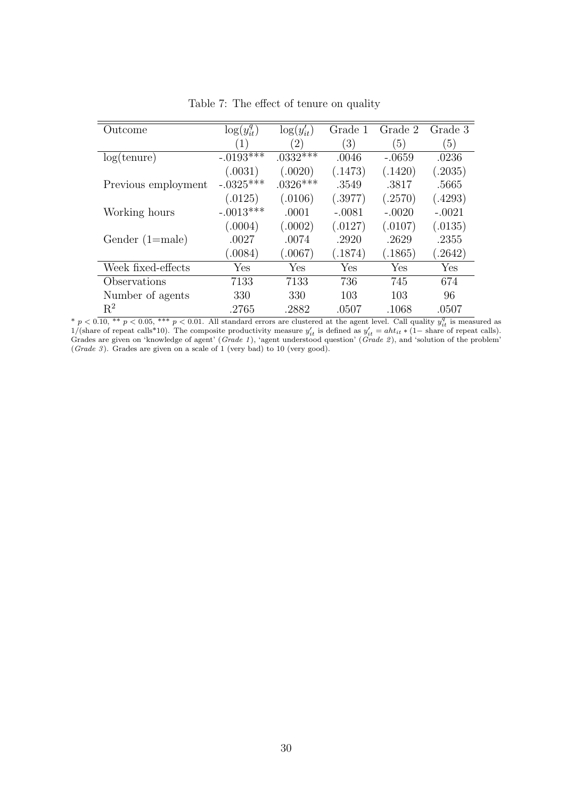<span id="page-32-0"></span>

| Outcome             | $\log(y_{it}^q)$ | $\log(y'_{it})$ | Grade    | Grade 2  | Grade 3              |
|---------------------|------------------|-----------------|----------|----------|----------------------|
|                     | $\left(1\right)$ | $^{'}2)$        | (3)      | (5)      | $\left(5\right)$     |
| log(tenure)         | $-.0193***$      | $.0332***$      | .0046    | $-.0659$ | .0236                |
|                     | (.0031)          | (.0020)         | (.1473)  | (.1420)  | (.2035)              |
| Previous employment | $-.0325***$      | $.0326***$      | .3549    | .3817    | .5665                |
|                     | (.0125)          | (.0106)         | (.3977)  | (.2570)  | (.4293)              |
| Working hours       | $-.0013***$      | .0001           | $-.0081$ | $-.0020$ | $-.0021$             |
|                     | (.0004)          | (.0002)         | (.0127)  | (.0107)  | (.0135)              |
| Gender $(1=male)$   | .0027            | .0074           | .2920    | .2629    | .2355                |
|                     | (.0084)          | 0.067)          | (.1874)  | (0.1865) | (0.2642)             |
| Week fixed-effects  | Yes              | Yes             | Yes      | Yes      | $\operatorname{Yes}$ |
| Observations        | 7133             | 7133            | 736      | 745      | 674                  |
| Number of agents    | 330              | 330             | 103      | 103      | 96                   |
| $R^2$               | .2765            | .2882           | .0507    | .1068    | .0507                |

Table 7: The effect of tenure on quality

\*  $p < 0.10$ , \*\*  $p < 0.05$ , \*\*\*  $p < 0.01$ . All standard errors are clustered at the agent level. Call quality  $y_{it}^q$  is measured as  $1/(\text{share of repeat calls*10})$ . The composite productivity measure  $y_{it}'$  is defined as  $y_{it}' = ah t_{it} * (1-\$ (Grade 3). Grades are given on a scale of  $1$  (very bad) to  $10$  (very good).